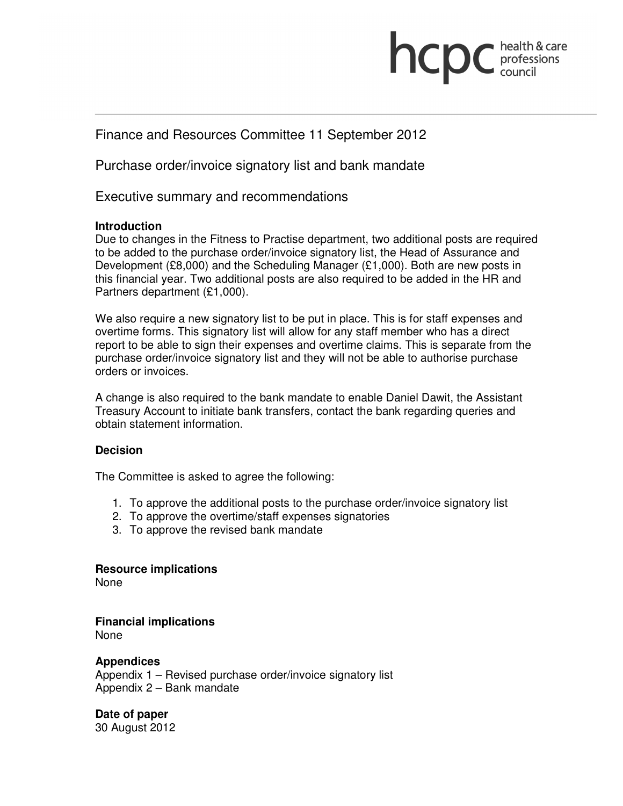# health & care **INCDC** professions

# Finance and Resources Committee 11 September 2012

Purchase order/invoice signatory list and bank mandate

Executive summary and recommendations

### **Introduction**

Due to changes in the Fitness to Practise department, two additional posts are required to be added to the purchase order/invoice signatory list, the Head of Assurance and Development (£8,000) and the Scheduling Manager (£1,000). Both are new posts in this financial year. Two additional posts are also required to be added in the HR and Partners department (£1,000).

We also require a new signatory list to be put in place. This is for staff expenses and overtime forms. This signatory list will allow for any staff member who has a direct report to be able to sign their expenses and overtime claims. This is separate from the purchase order/invoice signatory list and they will not be able to authorise purchase orders or invoices.

A change is also required to the bank mandate to enable Daniel Dawit, the Assistant Treasury Account to initiate bank transfers, contact the bank regarding queries and obtain statement information.

### **Decision**

The Committee is asked to agree the following:

- 1. To approve the additional posts to the purchase order/invoice signatory list
- 2. To approve the overtime/staff expenses signatories
- 3. To approve the revised bank mandate

**Resource implications**  None

**Financial implications**  None

### **Appendices**

Appendix 1 – Revised purchase order/invoice signatory list Appendix 2 – Bank mandate

**Date of paper**  30 August 2012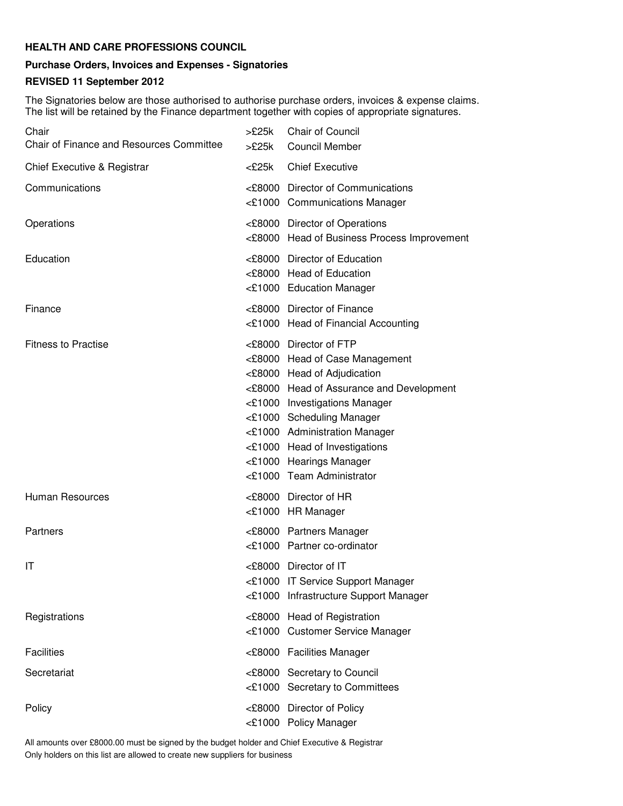#### **HEALTH AND CARE PROFESSIONS COUNCIL**

## **Purchase Orders, Invoices and Expenses - Signatories**

#### **REVISED 11 September 2012**

The Signatories below are those authorised to authorise purchase orders, invoices & expense claims. The list will be retained by the Finance department together with copies of appropriate signatures.

| Chair<br>Chair of Finance and Resources Committee | >£25k<br>>£25k | Chair of Council<br><b>Council Member</b>                                                                                                                                                                                                                                                                                   |
|---------------------------------------------------|----------------|-----------------------------------------------------------------------------------------------------------------------------------------------------------------------------------------------------------------------------------------------------------------------------------------------------------------------------|
| Chief Executive & Registrar                       | <£25k          | <b>Chief Executive</b>                                                                                                                                                                                                                                                                                                      |
| Communications                                    |                | <£8000 Director of Communications<br><£1000 Communications Manager                                                                                                                                                                                                                                                          |
| Operations                                        |                | <£8000 Director of Operations<br><£8000 Head of Business Process Improvement                                                                                                                                                                                                                                                |
| Education                                         |                | <£8000 Director of Education<br><£8000 Head of Education<br><£1000 Education Manager                                                                                                                                                                                                                                        |
| Finance                                           |                | <£8000 Director of Finance<br><£1000 Head of Financial Accounting                                                                                                                                                                                                                                                           |
| <b>Fitness to Practise</b>                        |                | <£8000 Director of FTP<br><£8000 Head of Case Management<br><£8000 Head of Adjudication<br><£8000 Head of Assurance and Development<br><£1000 Investigations Manager<br><£1000 Scheduling Manager<br><£1000 Administration Manager<br><£1000 Head of Investigations<br><£1000 Hearings Manager<br><£1000 Team Administrator |
| Human Resources                                   |                | <£8000 Director of HR<br><£1000 HR Manager                                                                                                                                                                                                                                                                                  |
| Partners                                          |                | <£8000 Partners Manager<br><£1000 Partner co-ordinator                                                                                                                                                                                                                                                                      |
| IT                                                |                | <£8000 Director of IT<br><£1000 IT Service Support Manager<br><£1000 Infrastructure Support Manager                                                                                                                                                                                                                         |
| Registrations                                     |                | <£8000 Head of Registration<br><£1000 Customer Service Manager                                                                                                                                                                                                                                                              |
| <b>Facilities</b>                                 |                | <£8000 Facilities Manager                                                                                                                                                                                                                                                                                                   |
| Secretariat                                       |                | <£8000 Secretary to Council<br><£1000 Secretary to Committees                                                                                                                                                                                                                                                               |
| Policy                                            |                | <£8000 Director of Policy<br><£1000 Policy Manager                                                                                                                                                                                                                                                                          |

All amounts over £8000.00 must be signed by the budget holder and Chief Executive & Registrar Only holders on this list are allowed to create new suppliers for business